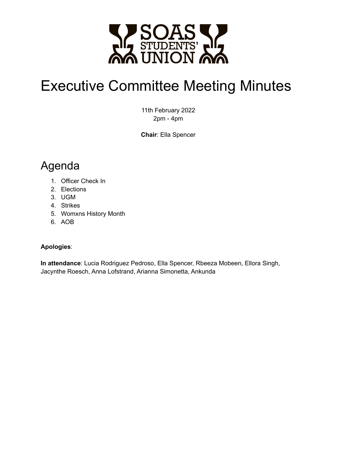

# Executive Committee Meeting Minutes

11th February 2022 2pm - 4pm

**Chair**: Ella Spencer

# Agenda

- 1. Officer Check In
- 2. Elections
- 3. UGM
- 4. Strikes
- 5. Womxns History Month
- 6. AOB

#### **Apologies**:

**In attendance**: Lucia Rodriguez Pedroso, Ella Spencer, Rbeeza Mobeen, Ellora Singh, Jacynthe Roesch, Anna Lofstrand, Arianna Simonetta, Ankunda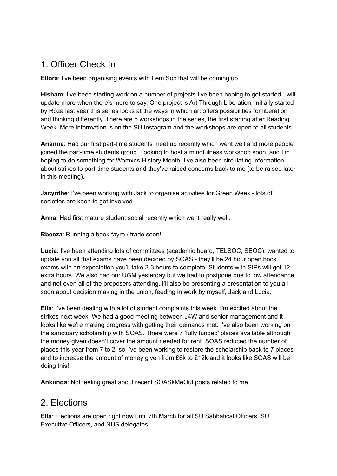## 1. Officer Check In

**Ellora**: I've been organising events with Fem Soc that will be coming up

**Hisham**: I've been starting work on a number of projects I've been hoping to get started - will update more when there's more to say. One project is Art Through Liberation; initially started by Roza last year this series looks at the ways in which art offers possibilities for liberation and thinking differently. There are 5 workshops in the series, the first starting after Reading Week. More information is on the SU Instagram and the workshops are open to all students.

**Arianna**: Had our first part-time students meet up recently which went well and more people joined the part-time students group. Looking to host a mindfulness workshop soon, and I'm hoping to do something for Womxns History Month. I've also been circulating information about strikes to part-time students and they've raised concerns back to me (to be raised later in this meeting).

**Jacynthe**: I've been working with Jack to organise activities for Green Week - lots of societies are keen to get involved.

**Anna**: Had first mature student social recently which went really well.

**Rbeeza**: Running a book fayre / trade soon!

**Lucia**: I've been attending lots of committees (academic board, TELSOC, SEOC); wanted to update you all that exams have been decided by SOAS - they'll be 24 hour open book exams with an expectation you'll take 2-3 hours to complete. Students with SIPs will get 12 extra hours. We also had our UGM yesterday but we had to postpone due to low attendance and not even all of the proposers attending. I'll also be presenting a presentation to you all soon about decision making in the union, feeding in work by myself, Jack and Lucia.

**Ella**: I've been dealing with a lot of student complaints this week. I'm excited about the strikes next week. We had a good meeting between J4W and senior management and it looks like we're making progress with getting their demands met. I've also been working on the sanctuary scholarship with SOAS. There were 7 'fully funded' places available although the money given doesn't cover the amount needed for rent. SOAS reduced the number of places this year from 7 to 2, so I've been working to restore the scholarship back to 7 places and to increase the amount of money given from £6k to £12k and it looks like SOAS will be doing this!

**Ankunda**: Not feeling great about recent SOASkMeOut posts related to me.

#### 2. Elections

**Ella**: Elections are open right now until 7th March for all SU Sabbatical Officers, SU Executive Officers, and NUS delegates.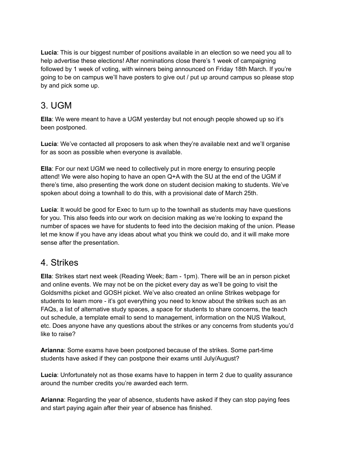**Lucia**: This is our biggest number of positions available in an election so we need you all to help advertise these elections! After nominations close there's 1 week of campaigning followed by 1 week of voting, with winners being announced on Friday 18th March. If you're going to be on campus we'll have posters to give out / put up around campus so please stop by and pick some up.

#### 3. UGM

**Ella**: We were meant to have a UGM yesterday but not enough people showed up so it's been postponed.

**Lucia**: We've contacted all proposers to ask when they're available next and we'll organise for as soon as possible when everyone is available.

**Ella**: For our next UGM we need to collectively put in more energy to ensuring people attend! We were also hoping to have an open Q+A with the SU at the end of the UGM if there's time, also presenting the work done on student decision making to students. We've spoken about doing a townhall to do this, with a provisional date of March 25th.

**Lucia**: It would be good for Exec to turn up to the townhall as students may have questions for you. This also feeds into our work on decision making as we're looking to expand the number of spaces we have for students to feed into the decision making of the union. Please let me know if you have any ideas about what you think we could do, and it will make more sense after the presentation.

#### 4. Strikes

**Ella**: Strikes start next week (Reading Week; 8am - 1pm). There will be an in person picket and online events. We may not be on the picket every day as we'll be going to visit the Goldsmiths picket and GOSH picket. We've also created an online Strikes webpage for students to learn more - it's got everything you need to know about the strikes such as an FAQs, a list of alternative study spaces, a space for students to share concerns, the teach out schedule, a template email to send to management, information on the NUS Walkout, etc. Does anyone have any questions about the strikes or any concerns from students you'd like to raise?

**Arianna**: Some exams have been postponed because of the strikes. Some part-time students have asked if they can postpone their exams until July/August?

**Lucia**: Unfortunately not as those exams have to happen in term 2 due to quality assurance around the number credits you're awarded each term.

**Arianna**: Regarding the year of absence, students have asked if they can stop paying fees and start paying again after their year of absence has finished.